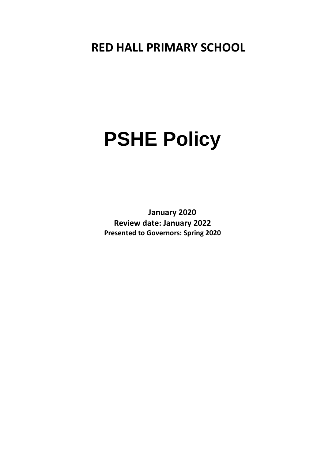## **RED HALL PRIMARY SCHOOL**

# **PSHE Policy**

**January 2020 Review date: January 2022 Presented to Governors: Spring 2020**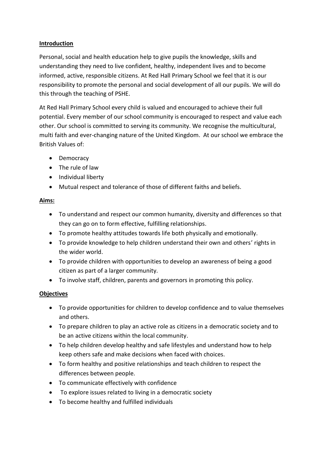#### **Introduction**

Personal, social and health education help to give pupils the knowledge, skills and understanding they need to live confident, healthy, independent lives and to become informed, active, responsible citizens. At Red Hall Primary School we feel that it is our responsibility to promote the personal and social development of all our pupils. We will do this through the teaching of PSHE.

At Red Hall Primary School every child is valued and encouraged to achieve their full potential. Every member of our school community is encouraged to respect and value each other. Our school is committed to serving its community. We recognise the multicultural, multi faith and ever-changing nature of the United Kingdom. At our school we embrace the British Values of:

- Democracy
- The rule of law
- Individual liberty
- Mutual respect and tolerance of those of different faiths and beliefs.

#### **Aims:**

- To understand and respect our common humanity, diversity and differences so that they can go on to form effective, fulfilling relationships.
- To promote healthy attitudes towards life both physically and emotionally.
- To provide knowledge to help children understand their own and others' rights in the wider world.
- To provide children with opportunities to develop an awareness of being a good citizen as part of a larger community.
- To involve staff, children, parents and governors in promoting this policy.

#### **Objectives**

- To provide opportunities for children to develop confidence and to value themselves and others.
- To prepare children to play an active role as citizens in a democratic society and to be an active citizens within the local community.
- To help children develop healthy and safe lifestyles and understand how to help keep others safe and make decisions when faced with choices.
- To form healthy and positive relationships and teach children to respect the differences between people.
- To communicate effectively with confidence
- To explore issues related to living in a democratic society
- To become healthy and fulfilled individuals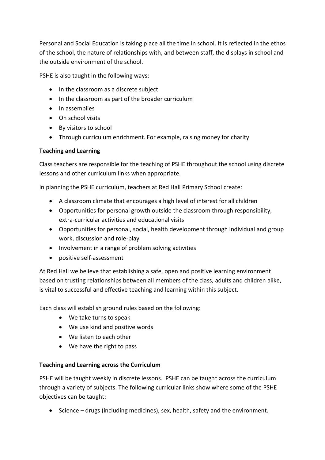Personal and Social Education is taking place all the time in school. It is reflected in the ethos of the school, the nature of relationships with, and between staff, the displays in school and the outside environment of the school.

PSHE is also taught in the following ways:

- In the classroom as a discrete subject
- In the classroom as part of the broader curriculum
- In assemblies
- On school visits
- By visitors to school
- Through curriculum enrichment. For example, raising money for charity

#### **Teaching and Learning**

Class teachers are responsible for the teaching of PSHE throughout the school using discrete lessons and other curriculum links when appropriate.

In planning the PSHE curriculum, teachers at Red Hall Primary School create:

- A classroom climate that encourages a high level of interest for all children
- Opportunities for personal growth outside the classroom through responsibility, extra-curricular activities and educational visits
- Opportunities for personal, social, health development through individual and group work, discussion and role-play
- Involvement in a range of problem solving activities
- positive self-assessment

At Red Hall we believe that establishing a safe, open and positive learning environment based on trusting relationships between all members of the class, adults and children alike, is vital to successful and effective teaching and learning within this subject.

Each class will establish ground rules based on the following:

- We take turns to speak
- We use kind and positive words
- We listen to each other
- We have the right to pass

#### **Teaching and Learning across the Curriculum**

PSHE will be taught weekly in discrete lessons. PSHE can be taught across the curriculum through a variety of subjects. The following curricular links show where some of the PSHE objectives can be taught:

• Science – drugs (including medicines), sex, health, safety and the environment.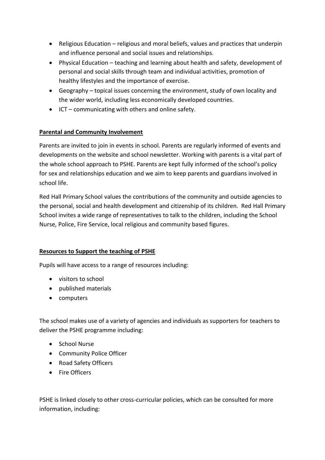- Religious Education religious and moral beliefs, values and practices that underpin and influence personal and social issues and relationships.
- Physical Education teaching and learning about health and safety, development of personal and social skills through team and individual activities, promotion of healthy lifestyles and the importance of exercise.
- Geography topical issues concerning the environment, study of own locality and the wider world, including less economically developed countries.
- ICT communicating with others and online safety.

### **Parental and Community Involvement**

Parents are invited to join in events in school. Parents are regularly informed of events and developments on the website and school newsletter. Working with parents is a vital part of the whole school approach to PSHE. Parents are kept fully informed of the school's policy for sex and relationships education and we aim to keep parents and guardians involved in school life.

Red Hall Primary School values the contributions of the community and outside agencies to the personal, social and health development and citizenship of its children. Red Hall Primary School invites a wide range of representatives to talk to the children, including the School Nurse, Police, Fire Service, local religious and community based figures.

#### **Resources to Support the teaching of PSHE**

Pupils will have access to a range of resources including:

- visitors to school
- published materials
- computers

The school makes use of a variety of agencies and individuals as supporters for teachers to deliver the PSHE programme including:

- School Nurse
- Community Police Officer
- Road Safety Officers
- Fire Officers

PSHE is linked closely to other cross-curricular policies, which can be consulted for more information, including: